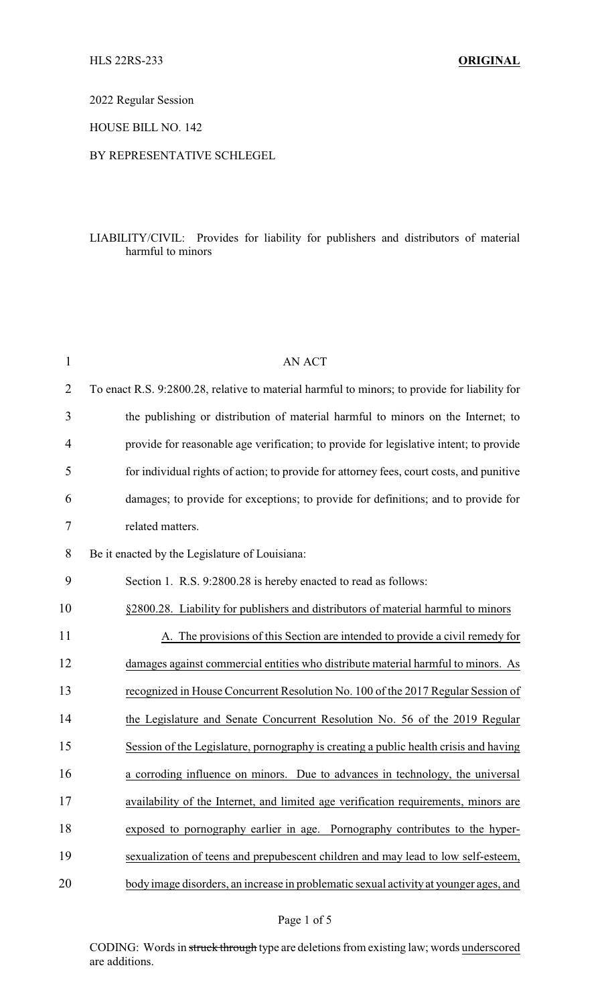2022 Regular Session

HOUSE BILL NO. 142

## BY REPRESENTATIVE SCHLEGEL

## LIABILITY/CIVIL: Provides for liability for publishers and distributors of material harmful to minors

| $\mathbf{1}$   | <b>AN ACT</b>                                                                                 |
|----------------|-----------------------------------------------------------------------------------------------|
| $\overline{2}$ | To enact R.S. 9:2800.28, relative to material harmful to minors; to provide for liability for |
| 3              | the publishing or distribution of material harmful to minors on the Internet; to              |
| $\overline{4}$ | provide for reasonable age verification; to provide for legislative intent; to provide        |
| 5              | for individual rights of action; to provide for attorney fees, court costs, and punitive      |
| 6              | damages; to provide for exceptions; to provide for definitions; and to provide for            |
| 7              | related matters.                                                                              |
| 8              | Be it enacted by the Legislature of Louisiana:                                                |
| 9              | Section 1. R.S. 9:2800.28 is hereby enacted to read as follows:                               |
| 10             | §2800.28. Liability for publishers and distributors of material harmful to minors             |
| 11             | A. The provisions of this Section are intended to provide a civil remedy for                  |
| 12             | damages against commercial entities who distribute material harmful to minors. As             |
| 13             | recognized in House Concurrent Resolution No. 100 of the 2017 Regular Session of              |
| 14             | the Legislature and Senate Concurrent Resolution No. 56 of the 2019 Regular                   |
| 15             | Session of the Legislature, pornography is creating a public health crisis and having         |
| 16             | a corroding influence on minors. Due to advances in technology, the universal                 |
| 17             | availability of the Internet, and limited age verification requirements, minors are           |
| 18             | exposed to pornography earlier in age. Pornography contributes to the hyper-                  |
| 19             | sexualization of teens and prepubescent children and may lead to low self-esteem,             |
| 20             | body image disorders, an increase in problematic sexual activity at younger ages, and         |

Page 1 of 5

CODING: Words in struck through type are deletions from existing law; words underscored are additions.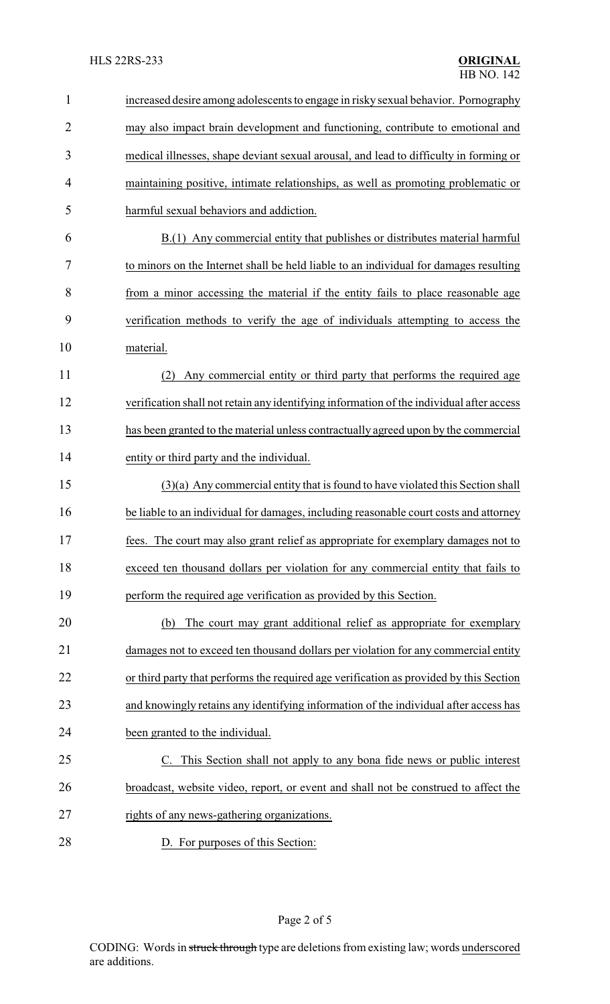| $\mathbf{1}$   | increased desire among adolescents to engage in risky sexual behavior. Pornography       |
|----------------|------------------------------------------------------------------------------------------|
| $\overline{2}$ | may also impact brain development and functioning, contribute to emotional and           |
| 3              | medical illnesses, shape deviant sexual arousal, and lead to difficulty in forming or    |
| 4              | maintaining positive, intimate relationships, as well as promoting problematic or        |
| 5              | harmful sexual behaviors and addiction.                                                  |
| 6              | B.(1) Any commercial entity that publishes or distributes material harmful               |
| 7              | to minors on the Internet shall be held liable to an individual for damages resulting    |
| 8              | from a minor accessing the material if the entity fails to place reasonable age          |
| 9              | verification methods to verify the age of individuals attempting to access the           |
| 10             | material.                                                                                |
| 11             | Any commercial entity or third party that performs the required age<br>(2)               |
| 12             | verification shall not retain any identifying information of the individual after access |
| 13             | has been granted to the material unless contractually agreed upon by the commercial      |
| 14             | entity or third party and the individual.                                                |
| 15             | $(3)(a)$ Any commercial entity that is found to have violated this Section shall         |
| 16             | be liable to an individual for damages, including reasonable court costs and attorney    |
| 17             | fees. The court may also grant relief as appropriate for exemplary damages not to        |
| 18             | exceed ten thousand dollars per violation for any commercial entity that fails to        |
| 19             | perform the required age verification as provided by this Section.                       |
| 20             | The court may grant additional relief as appropriate for exemplary<br>(b)                |
| 21             | damages not to exceed ten thousand dollars per violation for any commercial entity       |
| 22             | or third party that performs the required age verification as provided by this Section   |
| 23             | and knowingly retains any identifying information of the individual after access has     |
| 24             | been granted to the individual.                                                          |
| 25             | C. This Section shall not apply to any bona fide news or public interest                 |
| 26             | broadcast, website video, report, or event and shall not be construed to affect the      |
| 27             | rights of any news-gathering organizations.                                              |
| 28             | D. For purposes of this Section:                                                         |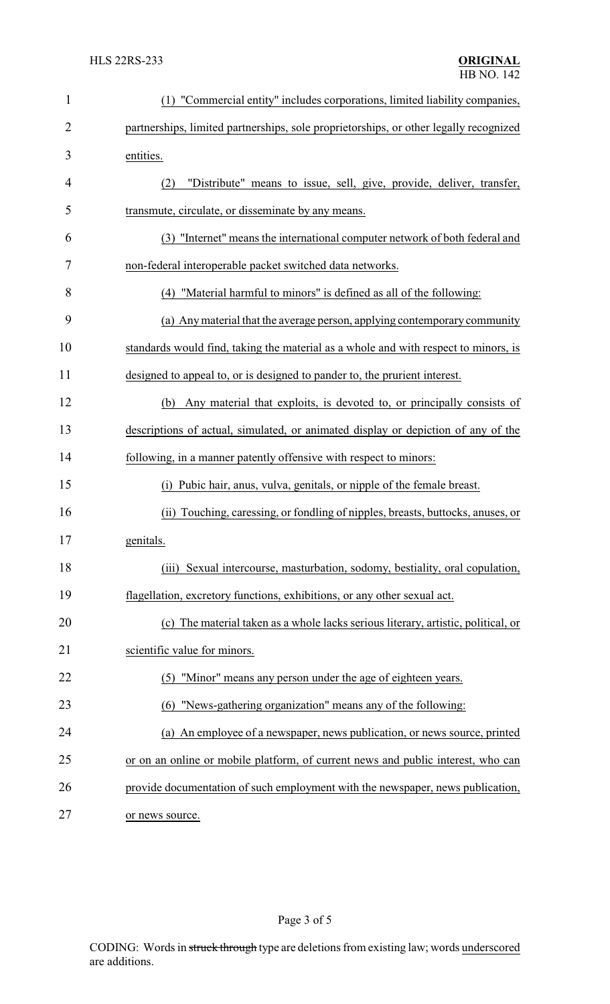| $\mathbf{1}$   | (1) "Commercial entity" includes corporations, limited liability companies,           |
|----------------|---------------------------------------------------------------------------------------|
| $\overline{2}$ | partnerships, limited partnerships, sole proprietorships, or other legally recognized |
| 3              | entities.                                                                             |
| 4              | "Distribute" means to issue, sell, give, provide, deliver, transfer,<br>(2)           |
| 5              | transmute, circulate, or disseminate by any means.                                    |
| 6              | (3) "Internet" means the international computer network of both federal and           |
| 7              | non-federal interoperable packet switched data networks.                              |
| 8              | (4) "Material harmful to minors" is defined as all of the following:                  |
| 9              | (a) Any material that the average person, applying contemporary community             |
| 10             | standards would find, taking the material as a whole and with respect to minors, is   |
| 11             | designed to appeal to, or is designed to pander to, the prurient interest.            |
| 12             | Any material that exploits, is devoted to, or principally consists of<br>(b)          |
| 13             | descriptions of actual, simulated, or animated display or depiction of any of the     |
| 14             | following, in a manner patently offensive with respect to minors:                     |
| 15             | Pubic hair, anus, vulva, genitals, or nipple of the female breast.<br>(1)             |
| 16             | (ii) Touching, caressing, or fondling of nipples, breasts, buttocks, anuses, or       |
| 17             | genitals.                                                                             |
| 18             | Sexual intercourse, masturbation, sodomy, bestiality, oral copulation,<br>(iii)       |
| 19             | flagellation, excretory functions, exhibitions, or any other sexual act.              |
| 20             | (c) The material taken as a whole lacks serious literary, artistic, political, or     |
| 21             | scientific value for minors.                                                          |
| 22             | "Minor" means any person under the age of eighteen years.<br>(5)                      |
| 23             | (6) "News-gathering organization" means any of the following:                         |
| 24             | (a) An employee of a newspaper, news publication, or news source, printed             |
| 25             | or on an online or mobile platform, of current news and public interest, who can      |
| 26             | provide documentation of such employment with the newspaper, news publication,        |
| 27             | or news source.                                                                       |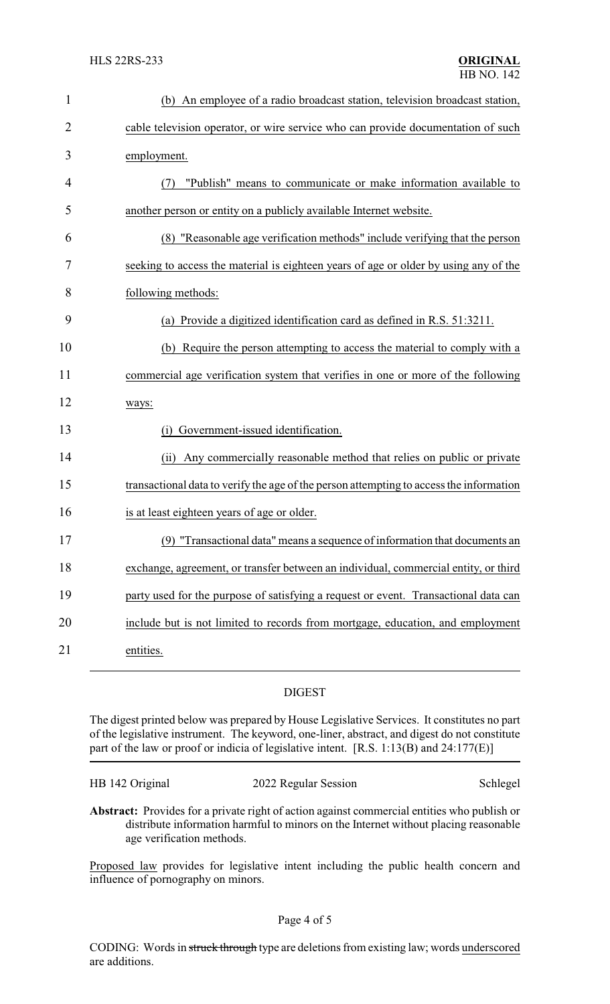| $\mathbf{1}$   | (b) An employee of a radio broadcast station, television broadcast station,             |
|----------------|-----------------------------------------------------------------------------------------|
| $\overline{2}$ | cable television operator, or wire service who can provide documentation of such        |
| 3              | employment.                                                                             |
| 4              | "Publish" means to communicate or make information available to<br>(7)                  |
| 5              | another person or entity on a publicly available Internet website.                      |
| 6              | (8) "Reasonable age verification methods" include verifying that the person             |
| 7              | seeking to access the material is eighteen years of age or older by using any of the    |
| 8              | following methods:                                                                      |
| 9              | (a) Provide a digitized identification card as defined in R.S. 51:3211.                 |
| 10             | (b) Require the person attempting to access the material to comply with a               |
| 11             | commercial age verification system that verifies in one or more of the following        |
| 12             | ways:                                                                                   |
| 13             | Government-issued identification.<br>(i)                                                |
| 14             | Any commercially reasonable method that relies on public or private<br>(ii)             |
| 15             | transactional data to verify the age of the person attempting to access the information |
| 16             | is at least eighteen years of age or older.                                             |
| 17             | (9) "Transactional data" means a sequence of information that documents an              |
| 18             | exchange, agreement, or transfer between an individual, commercial entity, or third     |
| 19             | party used for the purpose of satisfying a request or event. Transactional data can     |
| 20             | include but is not limited to records from mortgage, education, and employment          |
| 21             | entities.                                                                               |

## DIGEST

The digest printed below was prepared by House Legislative Services. It constitutes no part of the legislative instrument. The keyword, one-liner, abstract, and digest do not constitute part of the law or proof or indicia of legislative intent. [R.S. 1:13(B) and 24:177(E)]

| HB 142 Original |  |
|-----------------|--|
|-----------------|--|

2022 Regular Session Schlegel

**Abstract:** Provides for a private right of action against commercial entities who publish or distribute information harmful to minors on the Internet without placing reasonable age verification methods.

Proposed law provides for legislative intent including the public health concern and influence of pornography on minors.